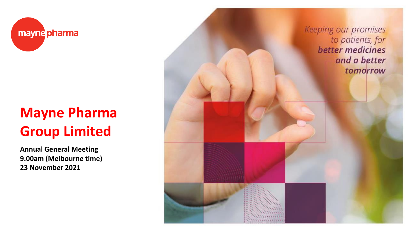

# **Mayne Pharma Group Limited**

**Annual General Meeting 9.00am (Melbourne time) 23 November 2021**

Keeping our promises to patients, for better medicines and a better tomorrow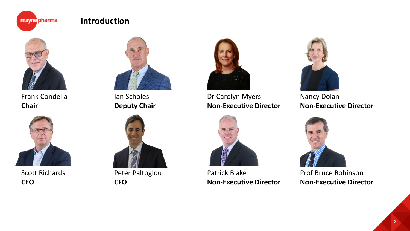#### mayne pharma

#### **Introduction**



Frank Condella **Chair**



Scott Richards **CEO**



Ian Scholes **Deputy Chair**



Peter Paltoglou **CFO**



Dr Carolyn Myers **Non-Executive Director**



Patrick Blake **Non-Executive Director**



Nancy Dolan **Non-Executive Director**



Prof Bruce Robinson **Non-Executive Director**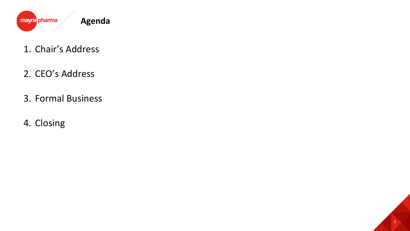

- 1. Chair's Address
- 2. CEO's Address
- 3. Formal Business
- 4. Closing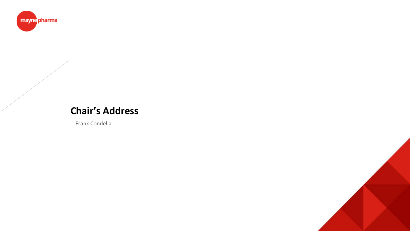

### **Chair's Address**

Frank Condella

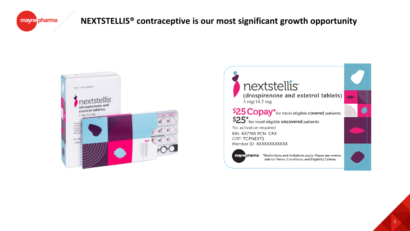

#### **NEXTSTELLIS® contraceptive is our most significant growth opportunity**



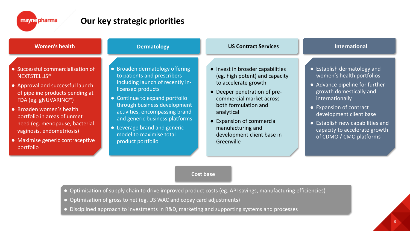# mayne pharma

### **Our key strategic priorities**

| <b>Women's health</b>                                                                                                                                                                                                                                                                                                                         | <b>Dermatology</b>                                                                                                                                                                                                                                                                                                                           | <b>US Contract Services</b>                                                                                                                                                                                                                                                                | <b>International</b>                                                                                                                                                                                                                                                                           |
|-----------------------------------------------------------------------------------------------------------------------------------------------------------------------------------------------------------------------------------------------------------------------------------------------------------------------------------------------|----------------------------------------------------------------------------------------------------------------------------------------------------------------------------------------------------------------------------------------------------------------------------------------------------------------------------------------------|--------------------------------------------------------------------------------------------------------------------------------------------------------------------------------------------------------------------------------------------------------------------------------------------|------------------------------------------------------------------------------------------------------------------------------------------------------------------------------------------------------------------------------------------------------------------------------------------------|
| • Successful commercialisation of<br><b>NEXTSTELLIS<sup>®</sup></b><br>• Approval and successful launch<br>of pipeline products pending at<br>FDA (eg. gNUVARING®)<br>• Broaden women's health<br>portfolio in areas of unmet<br>need (eg. menopause, bacterial<br>vaginosis, endometriosis)<br>• Maximise generic contraceptive<br>portfolio | • Broaden dermatology offering<br>to patients and prescribers<br>including launch of recently in-<br>licensed products<br>• Continue to expand portfolio<br>through business development<br>activities, encompassing brand<br>and generic business platforms<br>• Leverage brand and generic<br>model to maximise total<br>product portfolio | • Invest in broader capabilities<br>(eg. high potent) and capacity<br>to accelerate growth<br>• Deeper penetration of pre-<br>commercial market across<br>both formulation and<br>analytical<br>• Expansion of commercial<br>manufacturing and<br>development client base in<br>Greenville | • Establish dermatology and<br>women's health portfolios<br>• Advance pipeline for further<br>growth domestically and<br>internationally<br>• Expansion of contract<br>development client base<br>• Establish new capabilities and<br>capacity to accelerate growth<br>of CDMO / CMO platforms |

#### **Cost base**

● Optimisation of supply chain to drive improved product costs (eg. API savings, manufacturing efficiencies)

- Optimisation of gross to net (eg. US WAC and copay card adjustments)
- Disciplined approach to investments in R&D, marketing and supporting systems and processes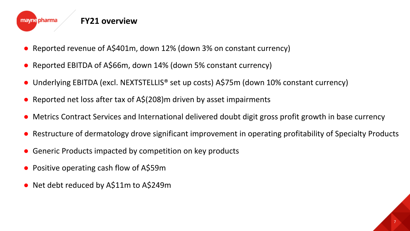

- Reported revenue of A\$401m, down 12% (down 3% on constant currency)
- Reported EBITDA of A\$66m, down 14% (down 5% constant currency)
- Underlying EBITDA (excl. NEXTSTELLIS<sup>®</sup> set up costs) A\$75m (down 10% constant currency)
- Reported net loss after tax of A\$(208)m driven by asset impairments
- Metrics Contract Services and International delivered doubt digit gross profit growth in base currency
- Restructure of dermatology drove significant improvement in operating profitability of Specialty Products
- Generic Products impacted by competition on key products
- Positive operating cash flow of A\$59m
- Net debt reduced by A\$11m to A\$249m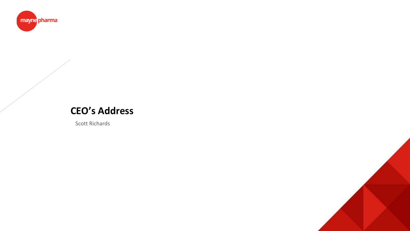

## **CEO's Address**

Scott Richards

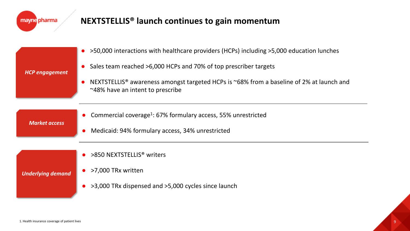

# **NEXTSTELLIS® launch continues to gain momentum**

|                          | >50,000 interactions with healthcare providers (HCPs) including >5,000 education lunches<br>$\bullet$                                    |  |  |
|--------------------------|------------------------------------------------------------------------------------------------------------------------------------------|--|--|
| <b>HCP engagement</b>    | Sales team reached >6,000 HCPs and 70% of top prescriber targets<br>$\bullet$                                                            |  |  |
|                          | NEXTSTELLIS <sup>®</sup> awareness amongst targeted HCPs is ~68% from a baseline of 2% at launch and<br>~48% have an intent to prescribe |  |  |
| <b>Market access</b>     | Commercial coverage <sup>1</sup> : 67% formulary access, 55% unrestricted                                                                |  |  |
|                          | Medicaid: 94% formulary access, 34% unrestricted                                                                                         |  |  |
|                          | >850 NEXTSTELLIS <sup>®</sup> writers                                                                                                    |  |  |
| <b>Underlying demand</b> | >7,000 TRx written                                                                                                                       |  |  |
|                          | >3,000 TRx dispensed and >5,000 cycles since launch                                                                                      |  |  |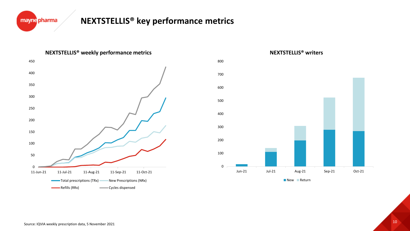







New Return

mayne pharma